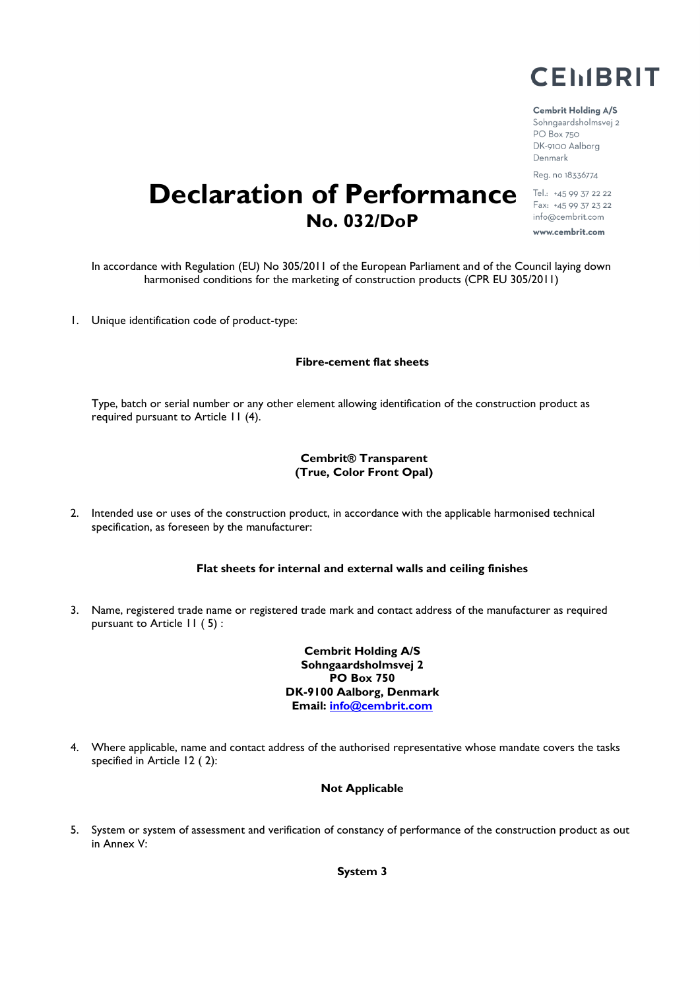

# Cembrit Holding A/S

Sohngaardsholmsvej 2 PO Box 750 DK-9100 Aalborg Denmark Reg. no 18336774

Tel.: +45 99 37 22 22 Fax: +45 99 37 23 22 info@cembrit.com www.cembrit.com

**Declaration of Performance No. 032/DoP**

In accordance with Regulation (EU) No 305/2011 of the European Parliament and of the Council laying down harmonised conditions for the marketing of construction products (CPR EU 305/2011)

1. Unique identification code of product-type:

#### **Fibre-cement flat sheets**

Type, batch or serial number or any other element allowing identification of the construction product as required pursuant to Article 11 (4).

## **Cembrit® Transparent (True, Color Front Opal)**

2. Intended use or uses of the construction product, in accordance with the applicable harmonised technical specification, as foreseen by the manufacturer:

#### **Flat sheets for internal and external walls and ceiling finishes**

3. Name, registered trade name or registered trade mark and contact address of the manufacturer as required pursuant to Article 11 ( 5) :

> **Cembrit Holding A/S Sohngaardsholmsvej 2 PO Box 750 DK-9100 Aalborg, Denmark Email: info@cembrit.com**

4. Where applicable, name and contact address of the authorised representative whose mandate covers the tasks specified in Article 12 ( 2):

#### **Not Applicable**

5. System or system of assessment and verification of constancy of performance of the construction product as out in Annex V:

**System 3**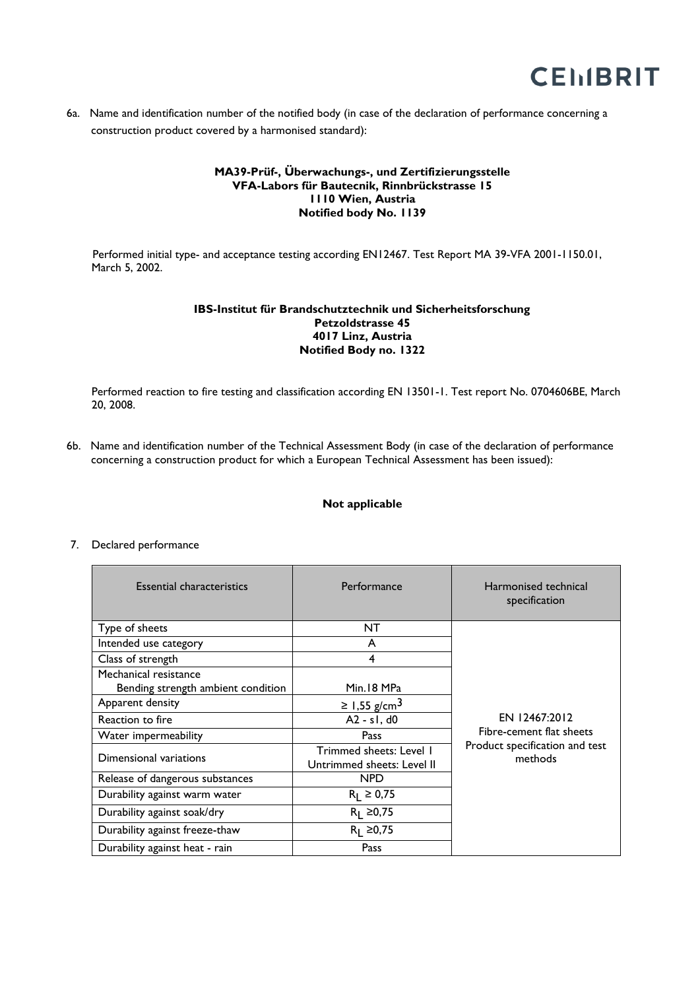

6a. Name and identification number of the notified body (in case of the declaration of performance concerning a construction product covered by a harmonised standard):

# **MA39-Prüf-, Überwachungs-, und Zertifizierungsstelle VFA-Labors für Bautecnik, Rinnbrückstrasse 15 1110 Wien, Austria Notified body No. 1139**

 Performed initial type- and acceptance testing according EN12467. Test Report MA 39-VFA 2001-1150.01, March 5, 2002.

# **IBS-Institut für Brandschutztechnik und Sicherheitsforschung Petzoldstrasse 45 4017 Linz, Austria Notified Body no. 1322**

Performed reaction to fire testing and classification according EN 13501-1. Test report No. 0704606BE, March 20, 2008.

6b. Name and identification number of the Technical Assessment Body (in case of the declaration of performance concerning a construction product for which a European Technical Assessment has been issued):

## **Not applicable**

#### 7. Declared performance

| <b>Essential characteristics</b>                            | Performance                                           | Harmonised technical<br>specification                                                  |
|-------------------------------------------------------------|-------------------------------------------------------|----------------------------------------------------------------------------------------|
| Type of sheets                                              | NT                                                    |                                                                                        |
| Intended use category                                       | A                                                     |                                                                                        |
| Class of strength                                           | 4                                                     | EN 12467:2012<br>Fibre-cement flat sheets<br>Product specification and test<br>methods |
| Mechanical resistance<br>Bending strength ambient condition | Min.18 MPa                                            |                                                                                        |
| Apparent density                                            | ≥ 1,55 g/cm <sup>3</sup>                              |                                                                                        |
| Reaction to fire                                            | $A2 - s1$ , d0                                        |                                                                                        |
| Water impermeability                                        | Pass                                                  |                                                                                        |
| Dimensional variations                                      | Trimmed sheets: Level 1<br>Untrimmed sheets: Level II |                                                                                        |
| Release of dangerous substances                             | <b>NPD</b>                                            |                                                                                        |
| Durability against warm water                               | $R_1 \ge 0.75$                                        |                                                                                        |
| Durability against soak/dry                                 | $R_1 \ge 0.75$                                        |                                                                                        |
| Durability against freeze-thaw                              | $R_1 \ge 0.75$                                        |                                                                                        |
| Durability against heat - rain                              | Pass                                                  |                                                                                        |